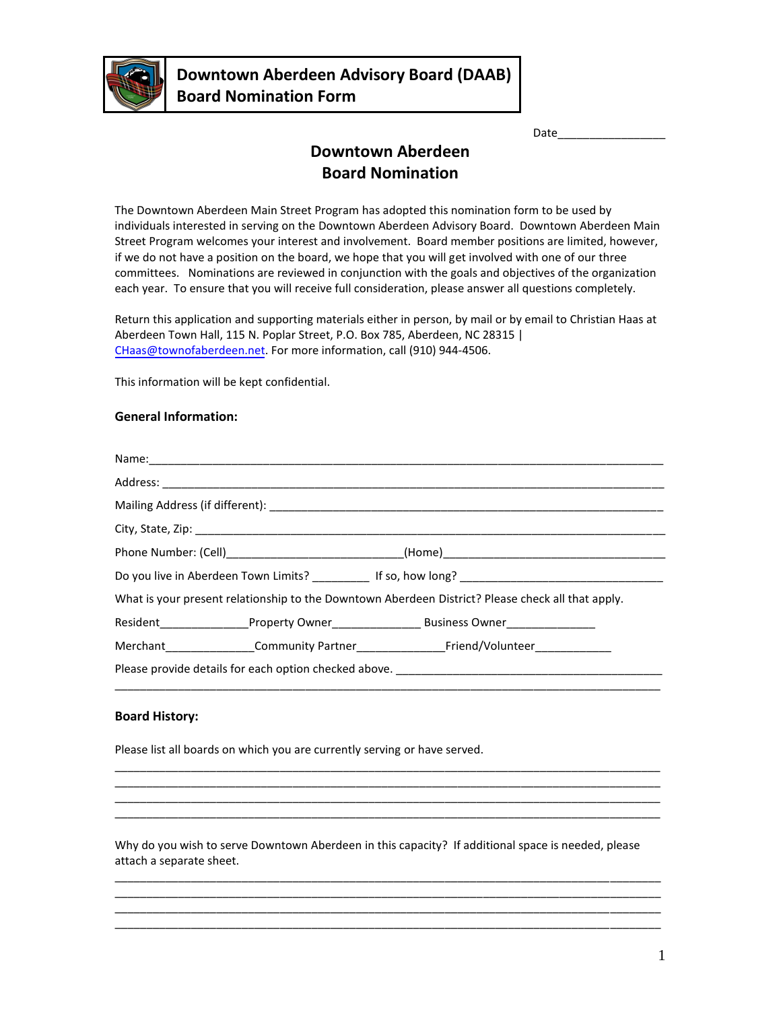

Date\_\_\_\_\_\_\_\_\_\_\_\_\_\_\_\_\_

# **Downtown Aberdeen Board Nomination**

The Downtown Aberdeen Main Street Program has adopted this nomination form to be used by individuals interested in serving on the Downtown Aberdeen Advisory Board. Downtown Aberdeen Main Street Program welcomes your interest and involvement. Board member positions are limited, however, if we do not have a position on the board, we hope that you will get involved with one of our three committees. Nominations are reviewed in conjunction with the goals and objectives of the organization each year. To ensure that you will receive full consideration, please answer all questions completely.

Return this application and supporting materials either in person, by mail or by email to Christian Haas at Aberdeen Town Hall, 115 N. Poplar Street, P.O. Box 785, Aberdeen, NC 28315 | CHaas[@townofaberdeen.net. For](mailto:JGallimore@townofaberdeen.net) more information, call (910) 944-4506.

This information will be kept confidential.

## **General Information:**

|                                                                                                   |  | Do you live in Aberdeen Town Limits? The Manuscript of So, how long?              |  |
|---------------------------------------------------------------------------------------------------|--|-----------------------------------------------------------------------------------|--|
| What is your present relationship to the Downtown Aberdeen District? Please check all that apply. |  |                                                                                   |  |
|                                                                                                   |  |                                                                                   |  |
|                                                                                                   |  |                                                                                   |  |
|                                                                                                   |  | Please provide details for each option checked above. ___________________________ |  |

#### **Board History:**

Please list all boards on which you are currently serving or have served.

Why do you wish to serve Downtown Aberdeen in this capacity? If additional space is needed, please attach a separate sheet.

\_\_\_\_\_\_\_\_\_\_\_\_\_\_\_\_\_\_\_\_\_\_\_\_\_\_\_\_\_\_\_\_\_\_\_\_\_\_\_\_\_\_\_\_\_\_\_\_\_\_\_\_\_\_\_\_\_\_\_\_\_\_\_\_\_\_\_\_\_\_\_\_\_\_\_\_\_\_\_\_\_\_\_\_\_\_ \_\_\_\_\_\_\_\_\_\_\_\_\_\_\_\_\_\_\_\_\_\_\_\_\_\_\_\_\_\_\_\_\_\_\_\_\_\_\_\_\_\_\_\_\_\_\_\_\_\_\_\_\_\_\_\_\_\_\_\_\_\_\_\_\_\_\_\_\_\_\_\_\_\_\_\_\_\_\_\_\_\_\_\_\_\_ \_\_\_\_\_\_\_\_\_\_\_\_\_\_\_\_\_\_\_\_\_\_\_\_\_\_\_\_\_\_\_\_\_\_\_\_\_\_\_\_\_\_\_\_\_\_\_\_\_\_\_\_\_\_\_\_\_\_\_\_\_\_\_\_\_\_\_\_\_\_\_\_\_\_\_\_\_\_\_\_\_\_\_\_\_\_ \_\_\_\_\_\_\_\_\_\_\_\_\_\_\_\_\_\_\_\_\_\_\_\_\_\_\_\_\_\_\_\_\_\_\_\_\_\_\_\_\_\_\_\_\_\_\_\_\_\_\_\_\_\_\_\_\_\_\_\_\_\_\_\_\_\_\_\_\_\_\_\_\_\_\_\_\_\_\_\_\_\_\_\_\_\_

\_\_\_\_\_\_\_\_\_\_\_\_\_\_\_\_\_\_\_\_\_\_\_\_\_\_\_\_\_\_\_\_\_\_\_\_\_\_\_\_\_\_\_\_\_\_\_\_\_\_\_\_\_\_\_\_\_\_\_\_\_\_\_\_\_\_\_\_\_\_\_\_\_\_\_\_\_\_\_\_\_\_\_\_\_\_ \_\_\_\_\_\_\_\_\_\_\_\_\_\_\_\_\_\_\_\_\_\_\_\_\_\_\_\_\_\_\_\_\_\_\_\_\_\_\_\_\_\_\_\_\_\_\_\_\_\_\_\_\_\_\_\_\_\_\_\_\_\_\_\_\_\_\_\_\_\_\_\_\_\_\_\_\_\_\_\_\_\_\_\_\_\_ \_\_\_\_\_\_\_\_\_\_\_\_\_\_\_\_\_\_\_\_\_\_\_\_\_\_\_\_\_\_\_\_\_\_\_\_\_\_\_\_\_\_\_\_\_\_\_\_\_\_\_\_\_\_\_\_\_\_\_\_\_\_\_\_\_\_\_\_\_\_\_\_\_\_\_\_\_\_\_\_\_\_\_\_\_\_ \_\_\_\_\_\_\_\_\_\_\_\_\_\_\_\_\_\_\_\_\_\_\_\_\_\_\_\_\_\_\_\_\_\_\_\_\_\_\_\_\_\_\_\_\_\_\_\_\_\_\_\_\_\_\_\_\_\_\_\_\_\_\_\_\_\_\_\_\_\_\_\_\_\_\_\_\_\_\_\_\_\_\_\_\_\_